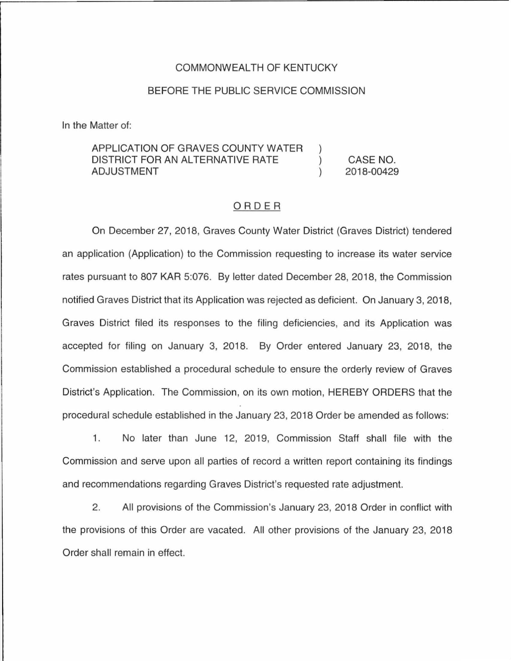## COMMONWEALTH OF KENTUCKY

## BEFORE THE PUBLIC SERVICE COMMISSION

In the Matter of:

## APPLICATION OF GRAVES COUNTY WATER DISTRICT FOR AN ALTERNATIVE RATE  $\mathcal{C}$ CASE NO. ADJUSTMENT 2018-00429  $\lambda$

## ORDER

On December 27, 2018, Graves County Water District (Graves District) tendered an application (Application) to the Commission requesting to increase its water service rates pursuant to 807 KAR 5:076. By letter dated December 28, 2018, the Commission notified Graves District that its Application was rejected as deficient. On January 3, 2018, Graves District filed its responses to the filing deficiencies, and its Application was accepted for filing on January 3, 2018. By Order entered January 23, 2018, the Commission established a procedural schedule to ensure the orderly review of Graves District's Application. The Commission, on its own motion, HEREBY ORDERS that the procedural schedule established in the January 23, 2018 Order be amended as follows:

1. No later than June 12, 2019, Commission Staff shall file with the Commission and serve upon all parties of record a written report containing its findings and recommendations regarding Graves District's requested rate adjustment.

2. All provisions of the Commission's January 23, 2018 Order in conflict with the provisions of this Order are vacated. All other provisions of the January 23, 2018 Order shall remain in effect.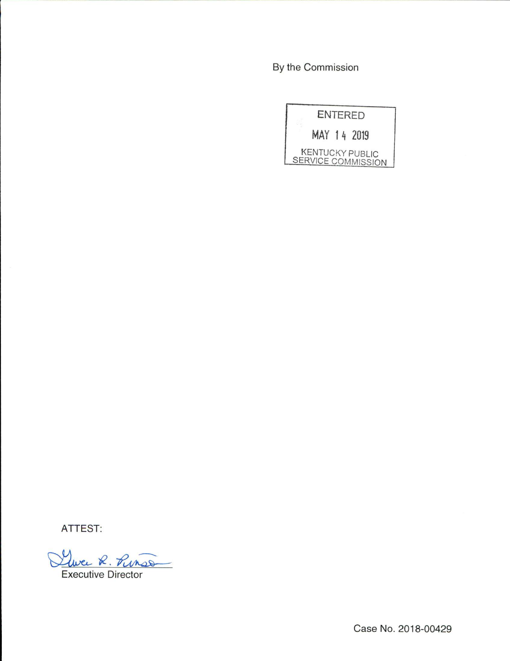By the Commission

|  | <b>ENTERED</b>                                      |  |
|--|-----------------------------------------------------|--|
|  | MAY 14 2019                                         |  |
|  | <b>KENTUCKY PUBLIC</b><br><b>SERVICE COMMISSION</b> |  |

ATTEST:

Luce R. Punso